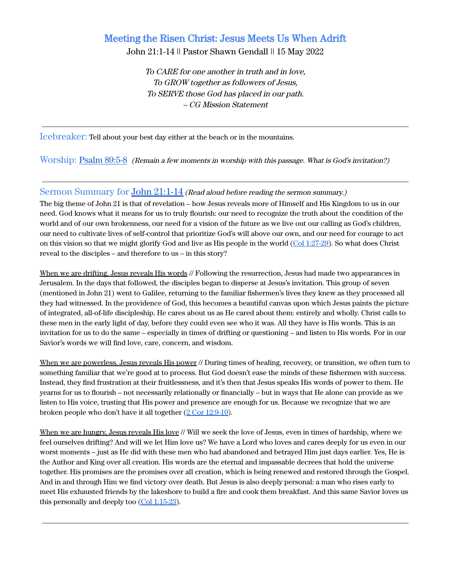# Meeting the Risen Christ: Jesus Meets Us When Adrift

John 21:1-14 || Pastor Shawn Gendall || 15 May 2022

To CARE for one another in truth and in love, To GROW together as followers of Jesus, To SERVE those God has placed in our path. – CG Mission Statement

Icebreaker: Tell about your best day either at the beach or in the mountains.

Worship: [Psalm 89:5-8](https://www.biblegateway.com/passage/?search=Psalm+89%3A1-14&version=ESV) (Remain <sup>a</sup> few moments in worship with this passage. What is God's invitation?)

### Sermon Summary for John [21:1-14](https://www.biblegateway.com/passage/?search=John+21%3A1-14&version=ESV) *(Read aloud before reading the sermon summary.)*

The big theme of John 21 is that of revelation – how Jesus reveals more of Himself and His Kingdom to us in our need. God knows what it means for us to truly flourish: our need to recognize the truth about the condition of the world and of our own brokenness, our need for a vision of the future as we live out our calling as God's children, our need to cultivate lives of self-control that prioritize God's will above our own, and our need for courage to act on this vision so that we might glorify God and live as His people in the world (Col [1:27-29\)](https://www.biblegateway.com/passage/?search=Colossians+1%3A27-29&version=ESV). So what does Christ reveal to the disciples – and therefore to us – in this story?

When we are drifting, Jesus reveals His words // Following the resurrection, Jesus had made two appearances in Jerusalem. In the days that followed, the disciples began to disperse at Jesus's invitation. This group of seven (mentioned in John 21) went to Galilee, returning to the familiar fishermen's lives they knew as they processed all they had witnessed. In the providence of God, this becomes a beautiful canvas upon which Jesus paints the picture of integrated, all-of-life discipleship. He cares about us as He cared about them: entirely and wholly. Christ calls to these men in the early light of day, before they could even see who it was. All they have is His words. This is an invitation for us to do the same – especially in times of drifting or questioning – and listen to His words. For in our Savior's words we will find love, care, concern, and wisdom.

When we are powerless, Jesus reveals His power // During times of healing, recovery, or transition, we often turn to something familiar that we're good at to process. But God doesn't ease the minds of these fishermen with success. Instead, they find frustration at their fruitlessness, and it's then that Jesus speaks His words of power to them. He yearns for us to flourish – not necessarily relationally or financially – but in ways that He alone can provide as we listen to His voice, trusting that His power and presence are enough for us. Because we recognize that we are broken people who don't have it all together (2 Cor [12:9-10\)](https://www.biblegateway.com/passage/?search=2+Corinthians+12%3A9-10&version=ESV).

When we are hungry, Jesus reveals His love // Will we seek the love of Jesus, even in times of hardship, where we feel ourselves drifting? And will we let Him love us? We have a Lord who loves and cares deeply for us even in our worst moments – just as He did with these men who had abandoned and betrayed Him just days earlier. Yes, He is the Author and King over all creation. His words are the eternal and impassable decrees that hold the universe together. His promises are the promises over all creation, which is being renewed and restored through the Gospel. And in and through Him we find victory over death. But Jesus is also deeply personal: a man who rises early to meet His exhausted friends by the lakeshore to build a fire and cook them breakfast. And this same Savior loves us this personally and deeply too (Col [1:15-23](https://www.biblegateway.com/passage/?search=Colossians+1%3A15-23&version=ESV)).